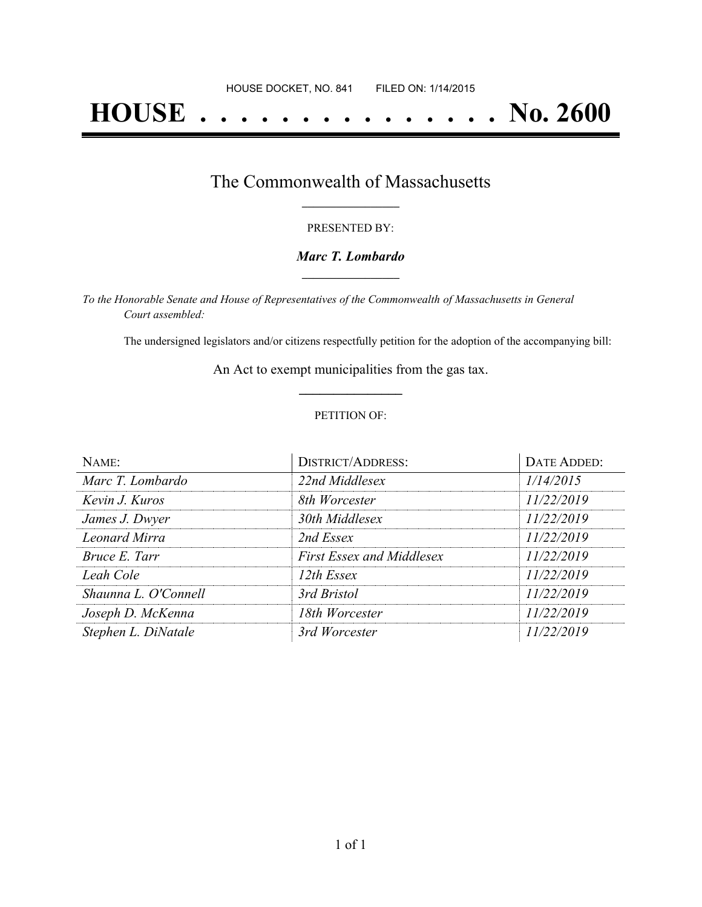# **HOUSE . . . . . . . . . . . . . . . No. 2600**

### The Commonwealth of Massachusetts **\_\_\_\_\_\_\_\_\_\_\_\_\_\_\_\_\_**

#### PRESENTED BY:

#### *Marc T. Lombardo* **\_\_\_\_\_\_\_\_\_\_\_\_\_\_\_\_\_**

*To the Honorable Senate and House of Representatives of the Commonwealth of Massachusetts in General Court assembled:*

The undersigned legislators and/or citizens respectfully petition for the adoption of the accompanying bill:

An Act to exempt municipalities from the gas tax. **\_\_\_\_\_\_\_\_\_\_\_\_\_\_\_**

#### PETITION OF:

| NAME:                | <b>DISTRICT/ADDRESS:</b>         | DATE ADDED: |
|----------------------|----------------------------------|-------------|
| Marc T. Lombardo     | 22nd Middlesex                   | 1/14/2015   |
| Kevin J. Kuros       | 8th Worcester                    | 11/22/2019  |
| James J. Dwyer       | 30th Middlesex                   | 11/22/2019  |
| <b>Leonard Mirra</b> | 2nd Essex                        | 11/22/2019  |
| Bruce E. Tarr        | <b>First Essex and Middlesex</b> | 11/22/2019  |
| Leah Cole            | 12th Essex                       | 11/22/2019  |
| Shaunna L. O'Connell | 3rd Bristol                      | 11/22/2019  |
| Joseph D. McKenna    | 18th Worcester                   | 11/22/2019  |
| Stephen L. DiNatale  | 3rd Worcester                    | 11/22/2019  |